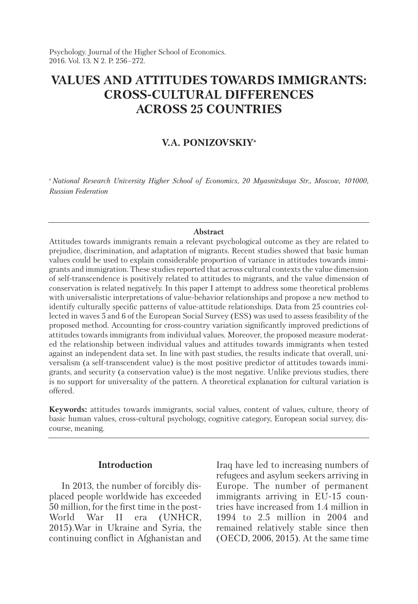Psychology. Journal of the Higher School of Economics. 2016. Vol. 13. N 2. P. 256–272.

# **VALUES AND ATTITUDES TOWARDS IMMIGRANTS: CROSS-CULTURAL DIFFERENCES ACROSS 25 COUNTRIES**

# **V.A. PONIZOVSKIYa**

*<sup>а</sup> National Research University Higher School of Economics, 20 Myasnitskaya Str., Moscow, 101000, Russian Federation*

#### **Abstract**

Attitudes towards immigrants remain a relevant psychological outcome as they are related to prejudice, discrimination, and adaptation of migrants. Recent studies showed that basic human values could be used to explain considerable proportion of variance in attitudes towards immigrants and immigration. These studies reported that across cultural contexts the value dimension of self-transcendence is positively related to attitudes to migrants, and the value dimension of conservation is related negatively. In this paper I attempt to address some theoretical problems with universalistic interpretations of value-behavior relationships and propose a new method to identify culturally specific patterns of value-attitude relationships. Data from 25 countries collected in waves 5 and 6 of the European Social Survey (ESS) was used to assess feasibility of the proposed method. Accounting for cross-country variation significantly improved predictions of attitudes towards immigrants from individual values. Moreover, the proposed measure moderated the relationship between individual values and attitudes towards immigrants when tested against an independent data set. In line with past studies, the results indicate that overall, universalism (a self-transcendent value) is the most positive predictor of attitudes towards immigrants, and security (a conservation value) is the most negative. Unlike previous studies, there is no support for universality of the pattern. A theoretical explanation for cultural variation is offered.

**Keywords:** attitudes towards immigrants, social values, content of values, culture, theory of basic human values, cross-cultural psychology, cognitive category, European social survey, discourse, meaning.

# **Introduction**

In 2013, the number of forcibly displaced people worldwide has exceeded 50 million, for the first time in the post-World War II era (UNHCR, 2015).War in Ukraine and Syria, the continuing conflict in Afghanistan and Iraq have led to increasing numbers of refugees and asylum seekers arriving in Europe. The number of permanent immigrants arriving in EU-15 countries have increased from 1.4 million in 1994 to 2.5 million in 2004 and remained relatively stable since then (OECD, 2006, 2015). At the same time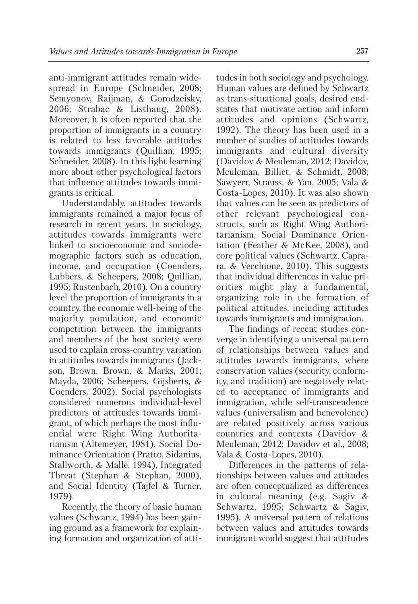anti-immigrant attitudes remain widespread in Europe (Schneider, 2008; Semyonov, Raijman, & Gorodzeisky, 2006; Strabac & Listhaug, 2008). Moreover, it is often reported that the proportion of immigrants in a country is related to less favorable attitudes towards immigrants (Quillian, 1995; Schneider, 2008). In this light learning more about other psychological factors that influence attitudes towards immigrants is critical.

Understandably, attitudes towards immigrants remained a major focus of research in recent years. In sociology, attitudes towards immigrants were linked to socioeconomic and sociodemographic factors such as education, income, and occupation (Coenders, Lubbers, & Scheepers, 2008; Quillian, 1995; Rustenbach, 2010). On a country level the proportion of immigrants in a country, the economic well-being of the majority population, and economic competition between the immigrants and members of the host society were used to explain cross-country variation in attitudes towards immigrants (Jackson, Brown, Brown, & Marks, 2001; Mayda, 2006; Scheepers, Gijsberts, & Coenders, 2002). Social psychologists considered numerous individual-level predictors of attitudes towards immigrant, of which perhaps the most influential were Right Wing Authoritarianism (Altemeyer, 1981), Social Dominance Orientation (Pratto, Sidanius, Stallworth, & Malle, 1994), Integrated Threat (Stephan & Stephan, 2000), and Social Identity (Tajfel & Turner, 1979).

Recently, the theory of basic human values (Schwartz, 1994) has been gaining ground as a framework for explaining formation and organization of attitudes in both sociology and psychology. Human values are defined by Schwartz as trans-situational goals, desired endstates that motivate action and inform attitudes and opinions (Schwartz, 1992). The theory has been used in a number of studies of attitudes towards immigrants and cultural diversity (Davidov & Meuleman, 2012; Davidov, Meuleman, Billiet, & Schmidt, 2008; Sawyerr, Strauss, & Yan, 2005; Vala & Costa-Lopes, 2010). It was also shown that values can be seen as predictors of other relevant psychological constructs, such as Right Wing Authoritarianism, Social Dominance Orientation (Feather & McKee, 2008), and core political values (Schwartz, Caprara, & Vecchione, 2010). This suggests that individual differences in value priorities might play a fundamental, organizing role in the formation of political attitudes, including attitudes towards immigrants and immigration.

The findings of recent studies converge in identifying a universal pattern of relationships between values and attitudes towards immigrants, where conservation values (security, conformity, and tradition) are negatively related to acceptance of immigrants and immigration, while self-transcendence values (universalism and benevolence) are related positively across various countries and contexts (Davidov & Meuleman, 2012; Davidov et al., 2008; Vala & Costa-Lopes, 2010).

Differences in the patterns of relationships between values and attitudes are often conceptualized as differences in cultural meaning (e.g. Sagiv & Schwartz, 1995; Schwartz & Sagiv, 1995). A universal pattern of relations between values and attitudes towards immigrant would suggest that attitudes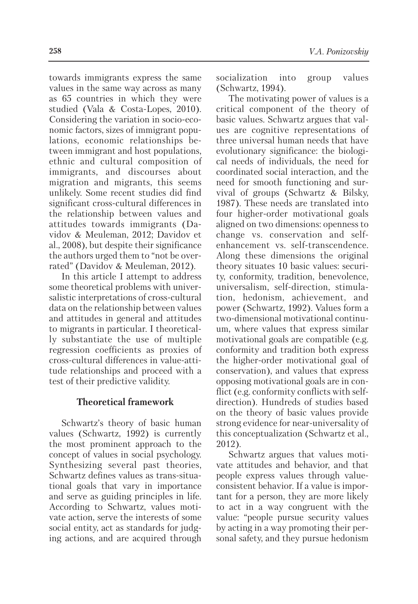towards immigrants express the same values in the same way across as many as 65 countries in which they were studied (Vala & Costa-Lopes, 2010). Considering the variation in socio-economic factors, sizes of immigrant populations, economic relationships between immigrant and host populations, ethnic and cultural composition of immigrants, and discourses about migration and migrants, this seems unlikely. Some recent studies did find significant cross-cultural differences in the relationship between values and attitudes towards immigrants (Davidov & Meuleman, 2012; Davidov et al., 2008), but despite their significance the authors urged them to "not be overrated" (Davidov & Meuleman, 2012).

In this article I attempt to address some theoretical problems with universalistic interpretations of cross-cultural data on the relationship between values and attitudes in general and attitudes to migrants in particular. I theoretically substantiate the use of multiple regression coefficients as proxies of cross-cultural differences in value-attitude relationships and proceed with a test of their predictive validity.

## **Theoretical framework**

Schwartz's theory of basic human values (Schwartz, 1992) is currently the most prominent approach to the concept of values in social psychology. Synthesizing several past theories, Schwartz defines values as trans-situational goals that vary in importance and serve as guiding principles in life. According to Schwartz, values motivate action, serve the interests of some social entity, act as standards for judging actions, and are acquired through socialization into group values (Schwartz, 1994).

The motivating power of values is a critical component of the theory of basic values. Schwartz argues that values are cognitive representations of three universal human needs that have evolutionary significance: the biological needs of individuals, the need for coordinated social interaction, and the need for smooth functioning and survival of groups (Schwartz & Bilsky, 1987). These needs are translated into four higher-order motivational goals aligned on two dimensions: openness to change vs. conservation and selfenhancement vs. self-transcendence. Along these dimensions the original theory situates 10 basic values: security, conformity, tradition, benevolence, universalism, self-direction, stimulation, hedonism, achievement, and power (Schwartz, 1992). Values form a two-dimensional motivational continuum, where values that express similar motivational goals are compatible (e.g. conformity and tradition both express the higher-order motivational goal of conservation), and values that express opposing motivational goals are in conflict (e.g. conformity conflicts with selfdirection). Hundreds of studies based on the theory of basic values provide strong evidence for near-universality of this conceptualization (Schwartz et al., 2012).

Schwartz argues that values motivate attitudes and behavior, and that people express values through valueconsistent behavior. If a value is important for a person, they are more likely to act in a way congruent with the value: "people pursue security values by acting in a way promoting their personal safety, and they pursue hedonism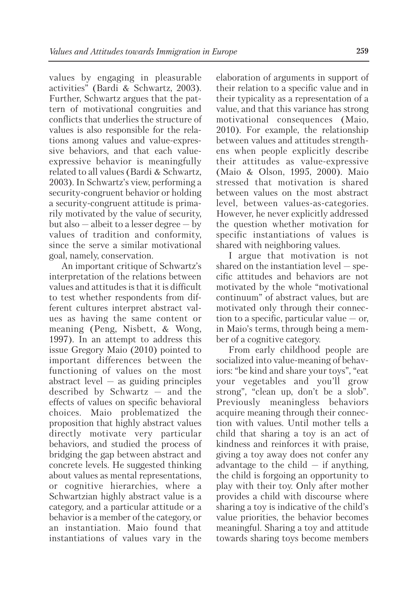values by engaging in pleasurable activities" (Bardi & Schwartz, 2003). Further, Schwartz argues that the pattern of motivational congruities and conflicts that underlies the structure of values is also responsible for the relations among values and value-expressive behaviors, and that each valueexpressive behavior is meaningfully related to all values (Bardi & Schwartz, 2003). In Schwartz's view, performing a security-congruent behavior or holding a security-congruent attitude is primarily motivated by the value of security, but also — albeit to a lesser degree — by values of tradition and conformity, since the serve a similar motivational goal, namely, conservation.

An important critique of Schwartz's interpretation of the relations between values and attitudes is that it is difficult to test whether respondents from different cultures interpret abstract values as having the same content or meaning (Peng, Nisbett, & Wong, 1997). In an attempt to address this issue Gregory Maio (2010) pointed to important differences between the functioning of values on the most abstract level — as guiding principles described by Schwartz — and the effects of values on specific behavioral choices. Maio problematized the proposition that highly abstract values directly motivate very particular behaviors, and studied the process of bridging the gap between abstract and concrete levels. He suggested thinking about values as mental representations, or cognitive hierarchies, where a Schwartzian highly abstract value is a category, and a particular attitude or a behavior is a member of the category, or an instantiation. Maio found that instantiations of values vary in the

elaboration of arguments in support of their relation to a specific value and in their typicality as a representation of a value, and that this variance has strong motivational consequences (Maio, 2010). For example, the relationship between values and attitudes strengthens when people explicitly describe their attitudes as value-expressive (Maio & Olson, 1995, 2000). Maio stressed that motivation is shared between values on the most abstract level, between values-as-categories. However, he never explicitly addressed the question whether motivation for specific instantiations of values is shared with neighboring values.

I argue that motivation is not shared on the instantiation level — specific attitudes and behaviors are not motivated by the whole "motivational continuum" of abstract values, but are motivated only through their connection to a specific, particular value  $-$  or, in Maio's terms, through being a member of a cognitive category.

From early childhood people are socialized into value-meaning of behaviors: "be kind and share your toys", "eat your vegetables and you'll grow strong", "clean up, don't be a slob". Previously meaningless behaviors acquire meaning through their connection with values. Until mother tells a child that sharing a toy is an act of kindness and reinforces it with praise, giving a toy away does not confer any advantage to the child  $-$  if anything, the child is forgoing an opportunity to play with their toy. Only after mother provides a child with discourse where sharing a toy is indicative of the child's value priorities, the behavior becomes meaningful. Sharing a toy and attitude towards sharing toys become members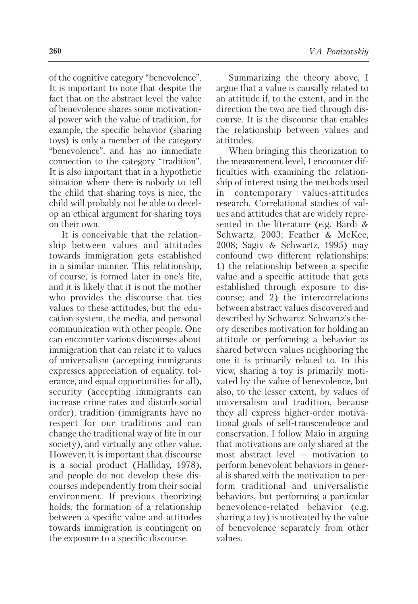of the cognitive category "benevolence". It is important to note that despite the fact that on the abstract level the value of benevolence shares some motivational power with the value of tradition, for example, the specific behavior (sharing toys) is only a member of the category "benevolence", and has no immediate connection to the category "tradition". It is also important that in a hypothetic situation where there is nobody to tell the child that sharing toys is nice, the child will probably not be able to develop an ethical argument for sharing toys on their own.

It is conceivable that the relationship between values and attitudes towards immigration gets established in a similar manner. This relationship, of course, is formed later in one's life, and it is likely that it is not the mother who provides the discourse that ties values to these attitudes, but the education system, the media, and personal communication with other people. One can encounter various discourses about immigration that can relate it to values of universalism (accepting immigrants expresses appreciation of equality, tolerance, and equal opportunities for all), security (accepting immigrants can increase crime rates and disturb social order), tradition (immigrants have no respect for our traditions and can change the traditional way of life in our society), and virtually any other value. However, it is important that discourse is a social product (Halliday, 1978), and people do not develop these discourses independently from their social environment. If previous theorizing holds, the formation of a relationship between a specific value and attitudes towards immigration is contingent on the exposure to a specific discourse.

Summarizing the theory above, I argue that a value is causally related to an attitude if, to the extent, and in the direction the two are tied through discourse. It is the discourse that enables the relationship between values and attitudes.

When bringing this theorization to the measurement level, I encounter difficulties with examining the relationship of interest using the methods used in contemporary values-attitudes research. Correlational studies of values and attitudes that are widely represented in the literature (e.g. Bardi & Schwartz, 2003; Feather & McKee, 2008; Sagiv & Schwartz, 1995) may confound two different relationships: 1) the relationship between a specific value and a specific attitude that gets established through exposure to discourse; and 2) the intercorrelations between abstract values discovered and described by Schwartz. Schwartz's theory describes motivation for holding an attitude or performing a behavior as shared between values neighboring the one it is primarily related to. In this view, sharing a toy is primarily motivated by the value of benevolence, but also, to the lesser extent, by values of universalism and tradition, because they all express higher-order motivational goals of self-transcendence and conservation. I follow Maio in arguing that motivations are only shared at the most abstract level — motivation to perform benevolent behaviors in general is shared with the motivation to perform traditional and universalistic behaviors, but performing a particular benevolence-related behavior (e.g. sharing a toy) is motivated by the value of benevolence separately from other values.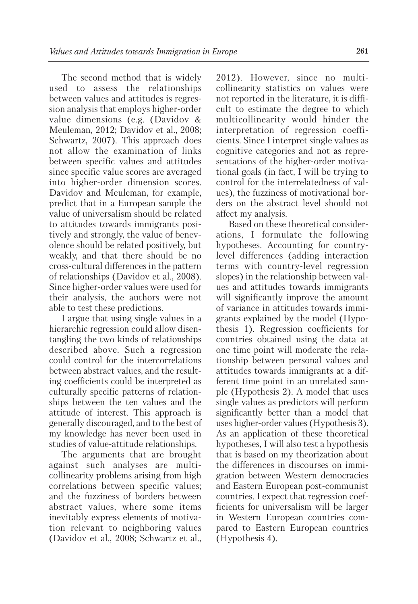The second method that is widely used to assess the relationships between values and attitudes is regression analysis that employs higher-order value dimensions (e.g. (Davidov & Meuleman, 2012; Davidov et al., 2008; Schwartz, 2007). This approach does not allow the examination of links between specific values and attitudes since specific value scores are averaged into higher-order dimension scores. Davidov and Meuleman, for example, predict that in a European sample the value of universalism should be related to attitudes towards immigrants positively and strongly, the value of benevolence should be related positively, but weakly, and that there should be no cross-cultural differences in the pattern of relationships (Davidov et al., 2008). Since higher-order values were used for their analysis, the authors were not able to test these predictions.

I argue that using single values in a hierarchic regression could allow disentangling the two kinds of relationships described above. Such a regression could control for the intercorrelations between abstract values, and the resulting coefficients could be interpreted as culturally specific patterns of relationships between the ten values and the attitude of interest. This approach is generally discouraged, and to the best of my knowledge has never been used in studies of value-attitude relationships.

The arguments that are brought against such analyses are multicollinearity problems arising from high correlations between specific values; and the fuzziness of borders between abstract values, where some items inevitably express elements of motivation relevant to neighboring values (Davidov et al., 2008; Schwartz et al., 2012). However, since no multicollinearity statistics on values were not reported in the literature, it is difficult to estimate the degree to which multicollinearity would hinder the interpretation of regression coefficients. Since I interpret single values as cognitive categories and not as representations of the higher-order motivational goals (in fact, I will be trying to control for the interrelatedness of values), the fuzziness of motivational borders on the abstract level should not affect my analysis.

Based on these theoretical considerations, I formulate the following hypotheses. Accounting for countrylevel differences (adding interaction terms with country-level regression slopes) in the relationship between values and attitudes towards immigrants will significantly improve the amount of variance in attitudes towards immigrants explained by the model (Hypothesis 1). Regression coefficients for countries obtained using the data at one time point will moderate the relationship between personal values and attitudes towards immigrants at a different time point in an unrelated sample (Hypothesis 2). A model that uses single values as predictors will perform significantly better than a model that uses higher-order values (Hypothesis 3). As an application of these theoretical hypotheses, I will also test a hypothesis that is based on my theorization about the differences in discourses on immigration between Western democracies and Eastern European post-communist countries. I expect that regression coefficients for universalism will be larger in Western European countries compared to Eastern European countries (Hypothesis 4).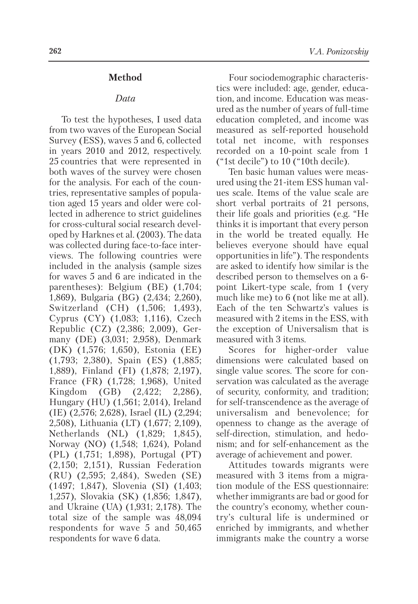#### **Method**

#### *Data*

To test the hypotheses, I used data from two waves of the European Social Survey (ESS), waves 5 and 6, collected in years 2010 and 2012, respectively. 25 countries that were represented in both waves of the survey were chosen for the analysis. For each of the countries, representative samples of population aged 15 years and older were collected in adherence to strict guidelines for cross-cultural social research developed by Harknes et al. (2003). The data was collected during face-to-face interviews. The following countries were included in the analysis (sample sizes for waves 5 and 6 are indicated in the parentheses): Belgium (BE) (1,704; 1,869), Bulgaria (BG) (2,434; 2,260), Switzerland (CH) (1,506; 1,493), Cyprus (CY) (1,083; 1,116), Czech Republic (CZ) (2,386; 2,009), Germany (DE) (3,031; 2,958), Denmark (DK) (1,576; 1,650), Estonia (EE) (1,793; 2,380), Spain (ES) (1,885; 1,889), Finland (FI) (1,878; 2,197), France (FR) (1,728; 1,968), United Kingdom (GB) (2,422; 2,286), Hungary (HU) (1,561; 2,014), Ireland (IE) (2,576; 2,628), Israel (IL) (2,294; 2,508), Lithuania (LT) (1,677; 2,109), Netherlands (NL) (1,829; 1,845), Norway (NO) (1,548; 1,624), Poland (PL) (1,751; 1,898), Portugal (PT) (2,150; 2,151), Russian Federation (RU) (2,595; 2,484), Sweden (SE) (1497; 1,847), Slovenia (SI) (1,403; 1,257), Slovakia (SK) (1,856; 1,847), and Ukraine (UA) (1,931; 2,178). The total size of the sample was 48,094 respondents for wave 5 and 50,465 respondents for wave 6 data.

Four sociodemographic characteristics were included: age, gender, education, and income. Education was measured as the number of years of full-time education completed, and income was measured as self-reported household total net income, with responses recorded on a 10-point scale from 1 ("1st decile") to 10 ("10th decile).

Ten basic human values were measured using the 21-item ESS human values scale. Items of the value scale are short verbal portraits of 21 persons, their life goals and priorities (e.g. "He thinks it is important that every person in the world be treated equally. He believes everyone should have equal opportunities in life"). The respondents are asked to identify how similar is the described person to themselves on a 6 point Likert-type scale, from 1 (very much like me) to 6 (not like me at all). Each of the ten Schwartz's values is measured with 2 items in the ESS, with the exception of Universalism that is measured with 3 items.

Scores for higher-order value dimensions were calculated based on single value scores. The score for conservation was calculated as the average of security, conformity, and tradition; for self-transcendence as the average of universalism and benevolence; for openness to change as the average of self-direction, stimulation, and hedonism; and for self-enhancement as the average of achievement and power.

Attitudes towards migrants were measured with 3 items from a migration module of the ESS questionnaire: whether immigrants are bad or good for the country's economy, whether country's cultural life is undermined or enriched by immigrants, and whether immigrants make the country a worse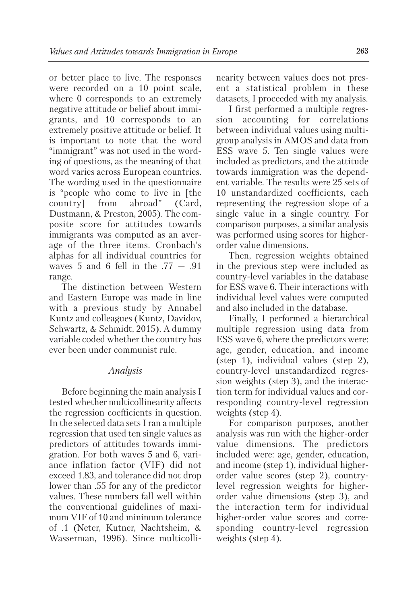or better place to live. The responses were recorded on a 10 point scale, where 0 corresponds to an extremely negative attitude or belief about immigrants, and 10 corresponds to an extremely positive attitude or belief. It is important to note that the word "immigrant" was not used in the wording of questions, as the meaning of that word varies across European countries. The wording used in the questionnaire is "people who come to live in [the country] from abroad" (Card, Dustmann, & Preston, 2005). The composite score for attitudes towards immigrants was computed as an average of the three items. Cronbach's alphas for all individual countries for waves 5 and 6 fell in the  $.77 - .91$ range.

The distinction between Western and Eastern Europe was made in line with a previous study by Annabel Kuntz and colleagues (Kuntz, Davidov, Schwartz, & Schmidt, 2015). A dummy variable coded whether the country has ever been under communist rule.

# *Analysis*

Before beginning the main analysis I tested whether multicollinearity affects the regression coefficients in question. In the selected data sets I ran a multiple regression that used ten single values as predictors of attitudes towards immigration. For both waves 5 and 6, variance inflation factor (VIF) did not exceed 1.83, and tolerance did not drop lower than .55 for any of the predictor values. These numbers fall well within the conventional guidelines of maximum VIF of 10 and minimum tolerance of .1 (Neter, Kutner, Nachtsheim, & Wasserman, 1996). Since multicollinearity between values does not present a statistical problem in these datasets, I proceeded with my analysis.

I first performed a multiple regression accounting for correlations between individual values using multigroup analysis in AMOS and data from ESS wave 5. Ten single values were included as predictors, and the attitude towards immigration was the dependent variable. The results were 25 sets of 10 unstandardized coefficients, each representing the regression slope of a single value in a single country. For comparison purposes, a similar analysis was performed using scores for higherorder value dimensions.

Then, regression weights obtained in the previous step were included as country-level variables in the database for ESS wave 6. Their interactions with individual level values were computed and also included in the database.

Finally, I performed a hierarchical multiple regression using data from ESS wave 6, where the predictors were: age, gender, education, and income (step 1), individual values (step 2), country-level unstandardized regression weights (step 3), and the interaction term for individual values and corresponding country-level regression weights (step 4).

For comparison purposes, another analysis was run with the higher-order value dimensions. The predictors included were: age, gender, education, and income (step 1), individual higherorder value scores (step 2), countrylevel regression weights for higherorder value dimensions (step 3), and the interaction term for individual higher-order value scores and corresponding country-level regression weights (step 4).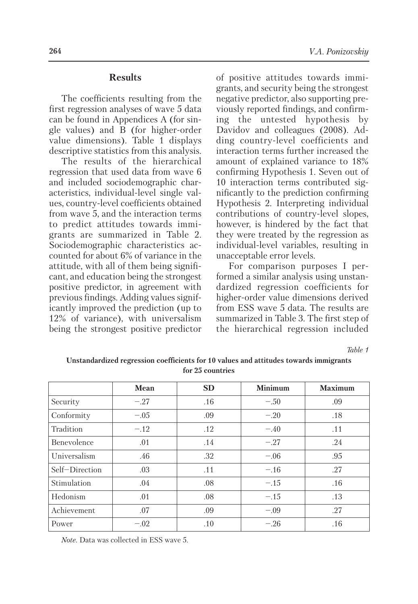## **Results**

The coefficients resulting from the first regression analyses of wave 5 data can be found in Appendices A (for single values) and B (for higher-order value dimensions). Table 1 displays descriptive statistics from this analysis.

The results of the hierarchical regression that used data from wave 6 and included sociodemographic characteristics, individual-level single values, country-level coefficients obtained from wave 5, and the interaction terms to predict attitudes towards immigrants are summarized in Table 2. Sociodemographic characteristics accounted for about 6% of variance in the attitude, with all of them being significant, and education being the strongest positive predictor, in agreement with previous findings. Adding values significantly improved the prediction (up to 12% of variance), with universalism being the strongest positive predictor

of positive attitudes towards immigrants, and security being the strongest negative predictor, also supporting previously reported findings, and confirming the untested hypothesis by Davidov and colleagues (2008). Adding country-level coefficients and interaction terms further increased the amount of explained variance to 18% confirming Hypothesis 1. Seven out of 10 interaction terms contributed significantly to the prediction confirming Hypothesis 2. Interpreting individual contributions of country-level slopes, however, is hindered by the fact that they were treated by the regression as individual-level variables, resulting in unacceptable error levels.

For comparison purposes I performed a similar analysis using unstandardized regression coefficients for higher-order value dimensions derived from ESS wave 5 data. The results are summarized in Table 3. The first step of the hierarchical regression included

*Table 1*

|                | Mean   | <b>SD</b> | <b>Minimum</b> | <b>Maximum</b> |
|----------------|--------|-----------|----------------|----------------|
| Security       | $-.27$ | .16       | $-.50$         | .09            |
| Conformity     | $-.05$ | .09       | $-.20$         | .18            |
| Tradition      | $-.12$ | .12       | $-.40$         | .11            |
| Benevolence    | .01    | .14       | $-.27$         | .24            |
| Universalism   | .46    | .32       | $-.06$         | .95            |
| Self-Direction | .03    | .11       | $-.16$         | .27            |
| Stimulation    | .04    | .08       | $-.15$         | .16            |
| Hedonism       | .01    | .08       | $-.15$         | .13            |
| Achievement    | .07    | .09       | $-.09$         | .27            |
| Power          | $-.02$ | .10       | $-.26$         | .16            |

**Unstandardized regression coefficients for 10 values and attitudes towards immigrants for 25 countries**

*Note.* Data was collected in ESS wave 5.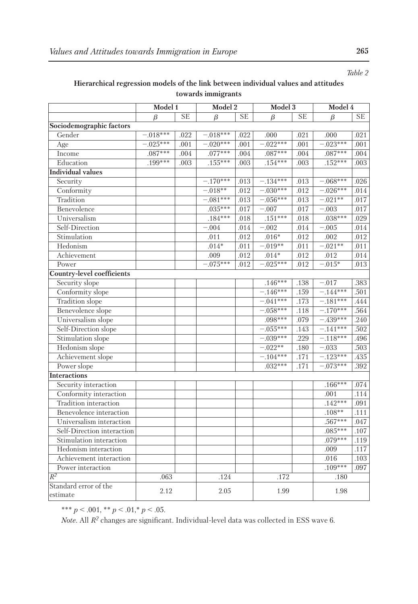# **Hierarchical regression models of the link between individual values and attitudes towards immigrants**

|                                   | Model 1    |      | Model 2     |      | Model 3     |      | Model 4    |          |
|-----------------------------------|------------|------|-------------|------|-------------|------|------------|----------|
|                                   | β          | SE   | β           | SE   | β           | SE   | B          | SЕ       |
| Sociodemographic factors          |            |      |             |      |             |      |            |          |
| Gender                            | $-.018***$ | .022 | $-.018***$  | .022 | .000        | .021 | .000       | .021     |
| Age                               | $-.025***$ | .001 | $-.020***$  | .001 | $-.022***$  | .001 | $-.023***$ | .001     |
| Income                            | $.087***$  | .004 | $.077***$   | .004 | $.087***$   | .004 | $.087***$  | .004     |
| Education                         | .199***    | .003 | $.155***$   | .003 | $.154***$   | .003 | $.152***$  | .003     |
| <b>Individual values</b>          |            |      |             |      |             |      |            |          |
| Security                          |            |      | $-.170***$  | .013 | $-.134***$  | .013 | $-.068***$ | $.026\,$ |
| Conformity                        |            |      | $-.018**$   | .012 | $-.030***$  | .012 | $-.026***$ | .014     |
| Tradition                         |            |      | $-.081***$  | .013 | $-.056***$  | .013 | $-.021**$  | .017     |
| Benevolence                       |            |      | $.035***$   | .017 | $-0.007$    | .017 | $-0.003$   | .017     |
| Universalism                      |            |      | $.184***$   | .018 | $.151***$   | .018 | $.038***$  | .029     |
| Self-Direction                    |            |      | $-.004$     | .014 | $-.002$     | .014 | $-.005$    | .014     |
| Stimulation                       |            |      | .011        | .012 | $.016*$     | .012 | .002       | .012     |
| Hedonism                          |            |      | $.014*$     | .011 | $-.019**$   | .011 | $-.021**$  | .011     |
| Achievement                       |            |      | .009        | .012 | $.014*$     | .012 | .012       | .014     |
| Power                             |            |      | $-0.075***$ | .012 | $-0.025***$ | .012 | $-0.015*$  | .013     |
| Country-level coefficients        |            |      |             |      |             |      |            |          |
| Security slope                    |            |      |             |      | $.146***$   | .138 | $-.017$    | .383     |
| Conformity slope                  |            |      |             |      | $-.146***$  | .159 | $-144***$  | .501     |
| Tradition slope                   |            |      |             |      | $-.041***$  | .173 | $-181***$  | .444     |
| Benevolence slope                 |            |      |             |      | $-0.058***$ | .118 | $-.170***$ | .564     |
| Universalism slope                |            |      |             |      | $.098***$   | .079 | $-.439***$ | .240     |
| Self-Direction slope              |            |      |             |      | $-.055***$  | .143 | $-.141***$ | .502     |
| Stimulation slope                 |            |      |             |      | $-0.039***$ | .229 | $-.118***$ | .496     |
| Hedonism slope                    |            |      |             |      | $-.022**$   | .180 | $-0.033$   | .503     |
| Achievement slope                 |            |      |             |      | $-.104***$  | .171 | $-123***$  | .435     |
| Power slope                       |            |      |             |      | $.032***$   | .171 | $-.073***$ | .392     |
| <b>Interactions</b>               |            |      |             |      |             |      |            |          |
| Security interaction              |            |      |             |      |             |      | $.166***$  | .074     |
| Conformity interaction            |            |      |             |      |             |      | .001       | .114     |
| Tradition interaction             |            |      |             |      |             |      | $.142***$  | .091     |
| Benevolence interaction           |            |      |             |      |             |      | $.108**$   | .111     |
| Universalism interaction          |            |      |             |      |             |      | $.567***$  | .047     |
| Self-Direction interaction        |            |      |             |      |             |      | $.085***$  | .107     |
| Stimulation interaction           |            |      |             |      |             |      | $.079***$  | .119     |
| Hedonism interaction              |            |      |             |      |             |      | .009       | .117     |
| Achievement interaction           |            |      |             |      |             |      | .016       | .103     |
| Power interaction                 |            |      |             |      |             |      | $.109***$  | .097     |
| $R^2$                             | .063       |      | .124        |      | .172        |      | .180       |          |
| Standard error of the<br>estimate | 2.12       |      | 2.05        |      | 1.99        |      | 1.98       |          |

\*\*\* *p* < .001, \*\* *p* < .01,\* *p* < .05.

*Note*. All *R2* changes are significant. Individual-level data was collected in ESS wave 6.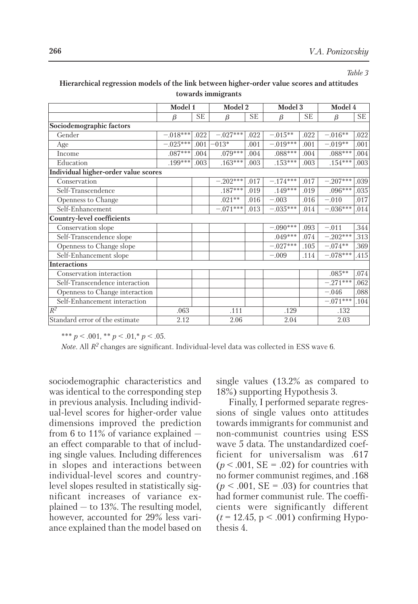*Table 3*

|                                      | Model 1    |           | Model 2    |           | Model 3    |      | Model 4    |           |
|--------------------------------------|------------|-----------|------------|-----------|------------|------|------------|-----------|
|                                      | β          | <b>SE</b> | β          | <b>SE</b> | β          | SE   | $\beta$    | <b>SE</b> |
| Sociodemographic factors             |            |           |            |           |            |      |            |           |
| Gender                               | $-.018***$ | .022      | $-.027***$ | .022      | $-.015**$  | .022 | $-.016**$  | .022      |
| Age                                  | $-.025***$ | .001      | $-013*$    | .001      | $-.019***$ | .001 | $-.019**$  | .001      |
| Income                               | $.087***$  | .004      | $.079***$  | .004      | $.088***$  | .004 | $.088***$  | .004      |
| Education                            | .199***    | .003      | $.163***$  | .003      | $.153***$  | .003 | $.154***$  | .003      |
| Individual higher-order value scores |            |           |            |           |            |      |            |           |
| Conservation                         |            |           | $-.202***$ | .017      | $-.174***$ | .017 | $-.207***$ | .039      |
| Self-Transcendence                   |            |           | $.187***$  | .019      | $.149***$  | .019 | $.096***$  | .035      |
| Openness to Change                   |            |           | $.021**$   | .016      | $-.003$    | .016 | $-.010$    | .017      |
| Self-Enhancement                     |            |           | $-.071***$ | .013      | $-.035***$ | .014 | $-.036***$ | .014      |
| Country-level coefficients           |            |           |            |           |            |      |            |           |
| Conservation slope                   |            |           |            |           | $-.090***$ | .093 | $-.011$    | .344      |
| Self-Transcendence slope             |            |           |            |           | $.049***$  | .074 | $-.202***$ | .313      |
| Openness to Change slope             |            |           |            |           | $-.027***$ | .105 | $-.074**$  | .369      |
| Self-Enhancement slope               |            |           |            |           | $-.009$    | .114 | $-.078***$ | .415      |
| <b>Interactions</b>                  |            |           |            |           |            |      |            |           |
| Conservation interaction             |            |           |            |           |            |      | $.085**$   | .074      |
| Self-Transcendence interaction       |            |           |            |           |            |      | $-.271***$ | .062      |
| Openness to Change interaction       |            |           |            |           |            |      | $-.046$    | .088      |
| Self-Enhancement interaction         |            |           |            |           |            |      | $-.071***$ | .104      |
| $R^2$                                | .063       |           | .111       |           | .129       |      | .132       |           |
| Standard error of the estimate       | 2.12       |           | 2.06       |           | 2.04       |      | 2.03       |           |

## **Hierarchical regression models of the link between higher-order value scores and attitudes towards immigrants**

\*\*\*  $p < .001$ , \*\*  $p < .01$ , \*  $p < .05$ .

*Note*. All *R2* changes are significant. Individual-level data was collected in ESS wave 6.

sociodemographic characteristics and was identical to the corresponding step in previous analysis. Including individual-level scores for higher-order value dimensions improved the prediction from 6 to 11% of variance explained an effect comparable to that of including single values. Including differences in slopes and interactions between individual-level scores and countrylevel slopes resulted in statistically significant increases of variance explained — to 13%. The resulting model, however, accounted for 29% less variance explained than the model based on

single values (13.2% as compared to 18%) supporting Hypothesis 3.

Finally, I performed separate regressions of single values onto attitudes towards immigrants for communist and non-communist countries using ESS wave 5 data. The unstandardized coefficient for universalism was .617  $(p < .001, SE = .02)$  for countries with no former communist regimes, and .168  $(p < .001, SE = .03)$  for countries that had former communist rule. The coefficients were significantly different  $(t = 12.45, p < .001)$  confirming Hypothesis 4.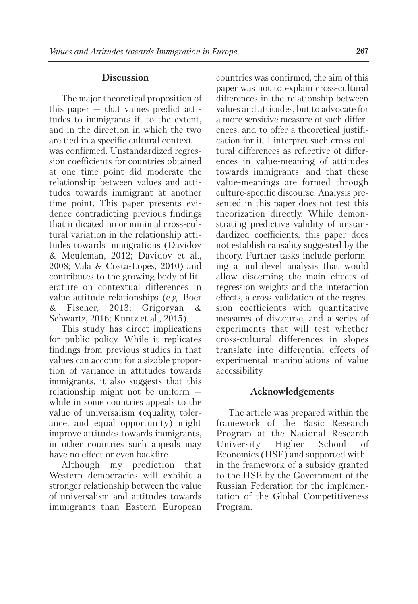## **Discussion**

The major theoretical proposition of this paper — that values predict attitudes to immigrants if, to the extent, and in the direction in which the two are tied in a specific cultural context was confirmed. Unstandardized regression coefficients for countries obtained at one time point did moderate the relationship between values and attitudes towards immigrant at another time point. This paper presents evidence contradicting previous findings that indicated no or minimal cross-cultural variation in the relationship attitudes towards immigrations (Davidov & Meuleman, 2012; Davidov et al., 2008; Vala & Costa-Lopes, 2010) and contributes to the growing body of literature on contextual differences in value-attitude relationships (e.g. Boer & Fischer, 2013; Grigoryan & Schwartz, 2016; Kuntz et al., 2015).

This study has direct implications for public policy. While it replicates findings from previous studies in that values can account for a sizable proportion of variance in attitudes towards immigrants, it also suggests that this relationship might not be uniform while in some countries appeals to the value of universalism (equality, tolerance, and equal opportunity) might improve attitudes towards immigrants, in other countries such appeals may have no effect or even backfire.

Although my prediction that Western democracies will exhibit a stronger relationship between the value of universalism and attitudes towards immigrants than Eastern European countries was confirmed, the aim of this paper was not to explain cross-cultural differences in the relationship between values and attitudes, but to advocate for a more sensitive measure of such differences, and to offer a theoretical justification for it. I interpret such cross-cultural differences as reflective of differences in value-meaning of attitudes towards immigrants, and that these value-meanings are formed through culture-specific discourse. Analysis presented in this paper does not test this theorization directly. While demonstrating predictive validity of unstandardized coefficients, this paper does not establish causality suggested by the theory. Further tasks include performing a multilevel analysis that would allow discerning the main effects of regression weights and the interaction effects, a cross-validation of the regression coefficients with quantitative measures of discourse, and a series of experiments that will test whether cross-cultural differences in slopes translate into differential effects of experimental manipulations of value accessibility.

## **Acknowledgements**

The article was prepared within the framework of the Basic Research Program at the National Research University Higher School of Economics (HSE) and supported within the framework of a subsidy granted to the HSE by the Government of the Russian Federation for the implementation of the Global Competitiveness Program.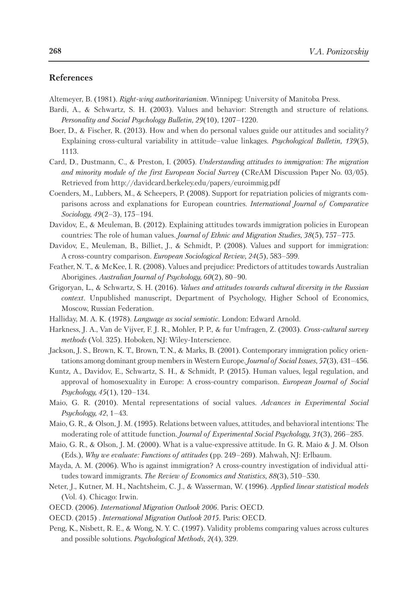## **References**

Altemeyer, B. (1981). *Right-wing authoritarianism.* Winnipeg: University of Manitoba Press.

- Bardi, A., & Schwartz, S. H. (2003). Values and behavior: Strength and structure of relations. *Personality and Social Psychology Bulletin, 29*(10), 1207–1220.
- Boer, D., & Fischer, R. (2013). How and when do personal values guide our attitudes and sociality? Explaining cross-cultural variability in attitude–value linkages. *Psychological Bulletin, 139*(5), 1113.
- Card, D., Dustmann, C., & Preston, I. (2005). *Understanding attitudes to immigration: The migration and minority module of the first European Social Survey* (CReAM Discussion Paper No. 03/05). Retrieved from http://davidcard.berkeley.edu/papers/euroimmig.pdf
- Coenders, M., Lubbers, M., & Scheepers, P. (2008). Support for repatriation policies of migrants comparisons across and explanations for European countries. *International Journal of Comparative Sociology, 49*(2–3), 175–194.
- Davidov, E., & Meuleman, B. (2012). Explaining attitudes towards immigration policies in European countries: The role of human values. *Journal of Ethnic and Migration Studies, 38*(5), 757–775.
- Davidov, E., Meuleman, B., Billiet, J., & Schmidt, P. (2008). Values and support for immigration: A cross-country comparison. *European Sociological Review, 24*(5), 583–599.
- Feather, N. T., & McKee, I. R. (2008). Values and prejudice: Predictors of attitudes towards Australian Aborigines. *Australian Journal of Psychology, 60*(2), 80–90.
- Grigoryan, L., & Schwartz, S. H. (2016). *Values and attitudes towards cultural diversity in the Russian context.* Unpublished manuscript, Department of Psychology, Higher School of Economics, Moscow, Russian Federation.
- Halliday, M. A. K. (1978). *Language as social semiotic.* London: Edward Arnold.
- Harkness, J. A., Van de Vijver, F. J. R., Mohler, P. P., & fur Umfragen, Z. (2003). *Cross-cultural survey methods* (Vol. 325). Hoboken, NJ: Wiley-Interscience.
- Jackson, J. S., Brown, K. T., Brown, T. N., & Marks, B. (2001). Contemporary immigration policy orientations among dominant group membersin Western Europe. *Journal of Social Issues, 57*(3), 431–456.
- Kuntz, A., Davidov, E., Schwartz, S. H., & Schmidt, P. (2015). Human values, legal regulation, and approval of homosexuality in Europe: A cross-country comparison. *European Journal of Social Psychology, 45*(1), 120–134.
- Maio, G. R. (2010). Mental representations of social values. *Advances in Experimental Social Psychology, 42*, 1–43.
- Maio, G. R., & Olson, J. M. (1995). Relations between values, attitudes, and behavioral intentions: The moderating role of attitude function. *Journal of Experimental Social Psychology, 31*(3), 266–285.
- Maio, G. R., & Olson, J. M. (2000). What is a value-expressive attitude. In G. R. Maio & J. M. Olson (Eds.), *Why we evaluate: Functions of attitudes* (pp. 249–269). Mahwah, NJ: Erlbaum.
- Mayda, A. M. (2006). Who is against immigration? A cross-country investigation of individual attitudes toward immigrants. *The Review of Economics and Statistics, 88*(3), 510–530.
- Neter, J., Kutner, M. H., Nachtsheim, C. J., & Wasserman, W. (1996). *Applied linear statistical models* (Vol. 4). Chicago: Irwin.
- OECD. (2006). *International Migration Outlook 2006.* Paris: OECD.

OECD. (2015) . *International Migration Outlook 2015.* Paris: OECD.

Peng, K., Nisbett, R. E., & Wong, N. Y. C. (1997). Validity problems comparing values across cultures and possible solutions. *Psychological Methods, 2*(4), 329.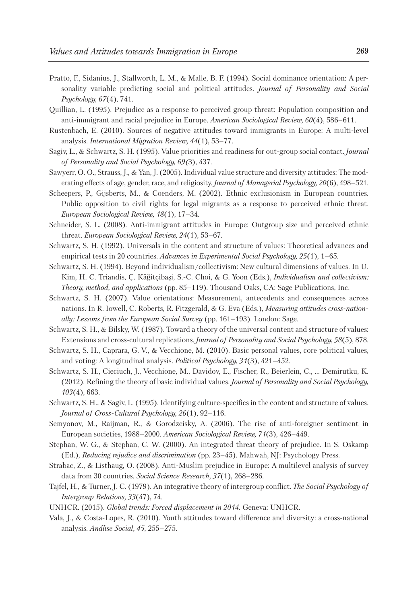- Pratto, F., Sidanius, J., Stallworth, L. M., & Malle, B. F. (1994). Social dominance orientation: A personality variable predicting social and political attitudes. *Journal of Personality and Social Psychology, 67*(4), 741.
- Quillian, L. (1995). Prejudice as a response to perceived group threat: Population composition and anti-immigrant and racial prejudice in Europe. *American Sociological Review, 60*(4), 586–611.
- Rustenbach, E. (2010). Sources of negative attitudes toward immigrants in Europe: A multi-level analysis. *International Migration Review, 44*(1), 53–77.
- Sagiv, L., & Schwartz, S. H. (1995). Value priorities and readiness for out-group social contact. *Journal of Personality and Social Psychology, 69(*3), 437.
- Sawyerr, O. O., Strauss, J., & Yan, J. (2005). Individual value structure and diversity attitudes: The moderating effects of age, gender, race, and religiosity. *Journal of Managerial Psychology, 20*(6), 498–521.
- Scheepers, P., Gijsberts, M., & Coenders, M. (2002). Ethnic exclusionism in European countries. Public opposition to civil rights for legal migrants as a response to perceived ethnic threat. *European Sociological Review, 18*(1), 17–34.
- Schneider, S. L. (2008). Anti-immigrant attitudes in Europe: Outgroup size and perceived ethnic threat. *European Sociological Review, 24*(1), 53–67.
- Schwartz, S. H. (1992). Universals in the content and structure of values: Theoretical advances and empirical tests in 20 countries. *Advances in Experimental Social Psychology, 25*(1), 1–65.
- Schwartz, S. H. (1994). Beyond individualism/collectivism: New cultural dimensions of values. In U. Kim, H. C. Triandis, Ç. Kâğitçibaşi, S.-C. Choi, & G. Yoon (Eds.), *Individualism and collectivism: Theory, method, and applications* (pp. 85–119). Thousand Oaks, CA: Sage Publications, Inc.
- Schwartz, S. H. (2007). Value orientations: Measurement, antecedents and consequences across nations. In R. Iowell, C. Roberts, R. Fitzgerald, & G. Eva (Eds.), *Measuring attitudes cross-nationally: Lessons from the European Social Survey* (pp. 161–193). London: Sage.
- Schwartz, S. H., & Bilsky, W. (1987). Toward a theory of the universal content and structure of values: Extensions and cross-cultural replications. *Journal of Personality and Social Psychology, 58*(5), 878.
- Schwartz, S. H., Caprara, G. V., & Vecchione, M. (2010). Basic personal values, core political values, and voting: A longitudinal analysis. *Political Psychology, 31*(3), 421–452.
- Schwartz, S. H., Cieciuch, J., Vecchione, M., Davidov, E., Fischer, R., Beierlein, C., ... Demirutku, K. (2012). Refining the theory of basic individual values. *Journal of Personality and Social Psychology, 103*(4), 663.
- Schwartz, S. H., & Sagiv, L. (1995). Identifying culture-specifics in the content and structure of values. *Journal of Cross-Cultural Psychology, 26*(1), 92–116.
- Semyonov, M., Raijman, R., & Gorodzeisky, A. (2006). The rise of anti-foreigner sentiment in European societies, 1988–2000. *American Sociological Review, 71*(3), 426–449.
- Stephan, W. G., & Stephan, C. W. (2000). An integrated threat theory of prejudice. In S. Oskamp (Ed.), *Reducing rejudice and discrimination* (pp. 23–45). Mahwah, NJ: Psychology Press.
- Strabac, Z., & Listhaug, O. (2008). Anti-Muslim prejudice in Europe: A multilevel analysis of survey data from 30 countries. *Social Science Research, 37*(1), 268–286.
- Tajfel, H., & Turner, J. C. (1979). An integrative theory of intergroup conflict. *The Social Psychology of Intergroup Relations, 33*(47), 74.
- UNHCR. (2015). *Global trends: Forced displacement in 2014.* Geneva: UNHCR.
- Vala, J., & Costa-Lopes, R. (2010). Youth attitudes toward difference and diversity: a cross-national analysis. *Análise Social, 45*, 255–275.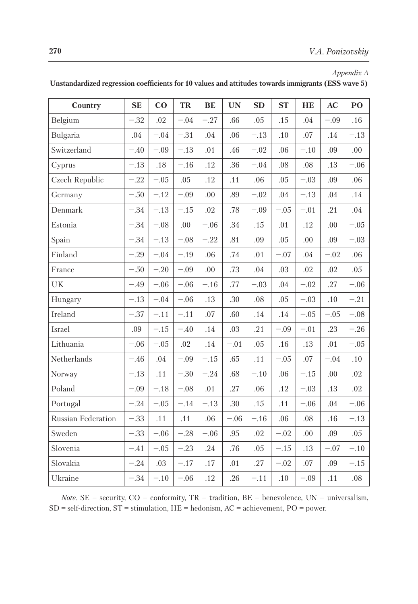*Appendix A*

| Country            | <b>SE</b> | $\bf{CO}$ | TR      | BE     | <b>UN</b> | SD     | <b>ST</b> | HE     | AC      | $\bf{P}$ |
|--------------------|-----------|-----------|---------|--------|-----------|--------|-----------|--------|---------|----------|
| Belgium            | $-.32$    | .02       | $-.04$  | $-.27$ | .66       | .05    | .15       | .04    | $-.09$  | .16      |
| Bulgaria           | .04       | $-.04$    | $-.31$  | .04    | .06       | $-.13$ | .10       | .07    | .14     | $-.13$   |
| Switzerland        | $-.40$    | $-.09$    | $-.13$  | .01    | .46       | $-.02$ | .06       | $-.10$ | .09     | .00      |
| Cyprus             | $-.13$    | .18       | $-.16$  | .12    | .36       | $-.04$ | .08       | .08    | .13     | $-.06$   |
| Czech Republic     | $-.22$    | $-.05$    | .05     | .12    | .11       | .06    | .05       | $-.03$ | .09     | .06      |
| Germany            | $-.50$    | $-.12$    | $-.09$  | .00    | .89       | $-.02$ | .04       | $-.13$ | .04     | .14      |
| Denmark            | $-.34$    | $-.13$    | $-.15$  | .02    | .78       | $-.09$ | $-.05$    | $-.01$ | .21     | .04      |
| Estonia            | $-.34$    | $-.08$    | .00     | $-.06$ | .34       | .15    | .01       | .12    | .00     | $-.05$   |
| Spain              | $-.34$    | $-.13$    | $-.08$  | $-.22$ | .81       | .09    | .05       | .00    | .09     | $-.03$   |
| Finland            | $-.29$    | $-.04$    | $-.19$  | .06    | .74       | .01    | $-.07$    | .04    | $-.02$  | .06      |
| France             | $-.50$    | $-.20$    | $-.09$  | .00    | .73       | .04    | .03       | .02    | .02     | .05      |
| UK                 | $-.49$    | $-.06$    | $-.06$  | $-.16$ | .77       | $-.03$ | .04       | $-.02$ | .27     | $-.06$   |
| Hungary            | $-.13$    | $-.04$    | $-.06$  | .13    | .30       | .08    | .05       | $-.03$ | .10     | $-.21$   |
| Ireland            | $-.37$    | $-.11$    | $-.11$  | .07    | .60       | .14    | .14       | $-.05$ | $-.05$  | $-.08$   |
| Israel             | .09       | $-.15$    | $-.40$  | .14    | $.03\,$   | .21    | $-.09$    | $-.01$ | .23     | $-.26$   |
| Lithuania          | $-.06$    | $-.05$    | $.02\,$ | .14    | $-.01$    | .05    | .16       | .13    | .01     | $-.05$   |
| Netherlands        | $-.46$    | .04       | $-.09$  | $-.15$ | .65       | .11    | $-.05$    | .07    | $-.04$  | .10      |
| Norway             | $-.13$    | .11       | $-.30$  | $-.24$ | .68       | $-.10$ | .06       | $-.15$ | .00     | .02      |
| Poland             | $-.09$    | $-.18$    | $-.08$  | .01    | .27       | .06    | .12       | $-.03$ | .13     | .02      |
| Portugal           | $-.24$    | $-.05$    | $-.14$  | $-.13$ | .30       | .15    | .11       | $-.06$ | $.04\,$ | $-.06$   |
| Russian Federation | $-.33$    | .11       | .11     | $.06$  | $-.06$    | $-.16$ | .06       | .08    | .16     | $-.13$   |
| Sweden             | $-.33$    | $-.06$    | $-.28$  | $-.06$ | .95       | .02    | $-.02$    | .00    | .09     | .05      |
| Slovenia           | $-.41$    | $-.05$    | $-.23$  | .24    | .76       | .05    | $-.15$    | .13    | $-.07$  | $-.10$   |
| Slovakia           | $-.24$    | .03       | $-.17$  | .17    | $.01\,$   | .27    | $-.02$    | .07    | .09     | $-.15$   |
| Ukraine            | $-.34$    | $-.10$    | $-.06$  | .12    | .26       | $-.11$ | .10       | $-.09$ | .11     | $.08\,$  |

**Unstandardized regression coefficients for 10 values and attitudes towards immigrants (ESS wave 5)**

*Note.* SE = security,  $CO =$  conformity,  $TR =$  tradition,  $BE =$  benevolence,  $UN =$  universalism,  $SD = self-direction, ST = stimulation, HE = hedonism, AC = achievement, PO = power.$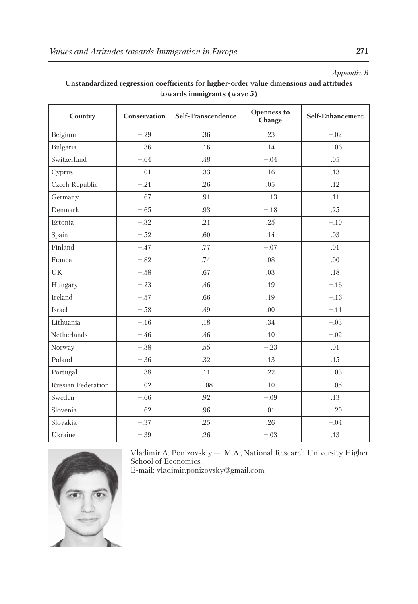### *Appendix B*

| Country            | Conservation | Self-Transcendence | <b>Openness to</b><br>Change | Self-Enhancement |  |
|--------------------|--------------|--------------------|------------------------------|------------------|--|
| Belgium            | $-.29$       | .36                | .23                          | $-.02$           |  |
| Bulgaria           | $-.36$       | .16                | .14                          | $-.06$           |  |
| Switzerland        | $-.64$       | .48                | $-.04$                       | .05              |  |
| Cyprus             | $-.01$       | .33                | .16                          | .13              |  |
| Czech Republic     | $-.21$       | .26                | .05                          | .12              |  |
| Germany            | $-.67$       | .91                | $-.13$                       | .11              |  |
| Denmark            | $-.65$       | .93                | $-.18$                       | .25              |  |
| Estonia            | $-.32$       | .21                | .25                          | $-.10$           |  |
| Spain              | $-.52$       | .60                | .14                          | .03              |  |
| Finland            | $-.47$       | .77                | $-.07$                       | .01              |  |
| France             | $-.82$       | .74                | .08                          | .00              |  |
| UK                 | $-.58$       | .67                | .03                          | .18              |  |
| Hungary            | $-.23$       | .46                | .19                          | $-.16$           |  |
| Ireland            | $-.57$       | .66                | .19                          | $-.16$           |  |
| Israel             | $-.58$       | .49                | .00                          | $-.11$           |  |
| Lithuania          | $-.16$       | .18                | .34                          | $-.03$           |  |
| Netherlands        | $-.46$       | .46                | .10                          | $-.02$           |  |
| Norway             | $-.38$       | .55                | $-.23$                       | .01              |  |
| Poland             | $-.36$       | .32                | .13                          | .15              |  |
| Portugal           | $-.38$       | .11                | .22                          | $-.03$           |  |
| Russian Federation | $-.02$       | $-.08$             | .10                          | $-.05$           |  |
| Sweden             | $-.66$       | .92                | $-.09$                       | .13              |  |
| Slovenia           | $-.62$       | .96                | .01                          | $-.20$           |  |
| Slovakia           | $-.37$       | .25                | .26                          | $-.04$           |  |
| Ukraine            | $-.39$       | .26                | $-.03$                       | .13              |  |

# **Unstandardized regression coefficients for higher-order value dimensions and attitudes towards immigrants (wave 5)**



Vladimir A. Ponizovskiy — M.A., National Research University Higher School of Economics.

E-mail: vladimir.ponizovsky@gmail.com